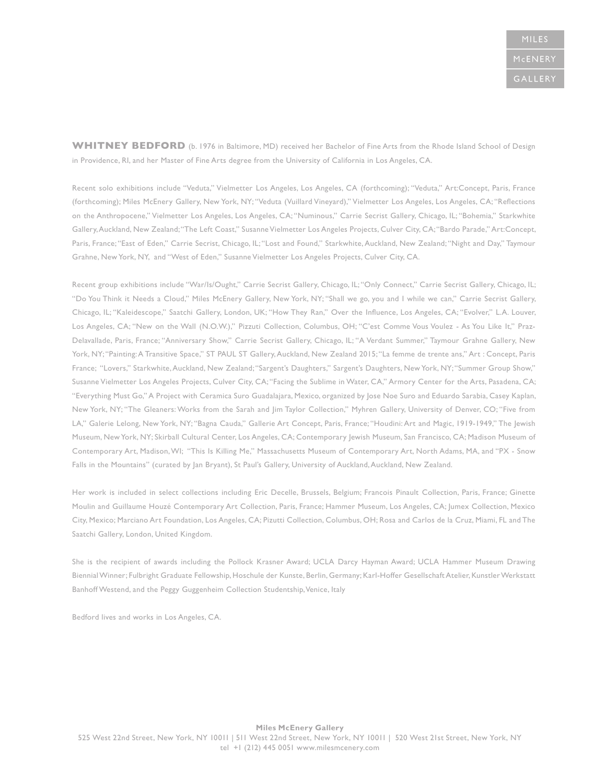WHITNEY BEDFORD (b. 1976 in Baltimore, MD) received her Bachelor of Fine Arts from the Rhode Island School of Design in Providence, RI, and her Master of Fine Arts degree from the University of California in Los Angeles, CA.

Recent solo exhibitions include "Veduta," Vielmetter Los Angeles, Los Angeles, CA (forthcoming); "Veduta," Art:Concept, Paris, France (forthcoming); Miles McEnery Gallery, New York, NY; "Veduta (Vuillard Vineyard)," Vielmetter Los Angeles, Los Angeles, CA; "Reflections on the Anthropocene," Vielmetter Los Angeles, Los Angeles, CA; "Numinous," Carrie Secrist Gallery, Chicago, IL; "Bohemia," Starkwhite Gallery, Auckland, New Zealand; "The Left Coast," Susanne Vielmetter Los Angeles Projects, Culver City, CA; "Bardo Parade," Art:Concept, Paris, France; "East of Eden," Carrie Secrist, Chicago, IL; "Lost and Found," Starkwhite, Auckland, New Zealand; "Night and Day," Taymour Grahne, New York, NY, and "West of Eden," Susanne Vielmetter Los Angeles Projects, Culver City, CA.

Recent group exhibitions include "War/Is/Ought," Carrie Secrist Gallery, Chicago, IL; "Only Connect," Carrie Secrist Gallery, Chicago, IL; "Do You Think it Needs a Cloud," Miles McEnery Gallery, New York, NY; "Shall we go, you and I while we can," Carrie Secrist Gallery, Chicago, IL; "Kaleidescope," Saatchi Gallery, London, UK; "How They Ran," Over the Influence, Los Angeles, CA; "Evolver," L.A. Louver, Los Angeles, CA; "New on the Wall (N.O.W.)," Pizzuti Collection, Columbus, OH; "C'est Comme Vous Voulez - As You Like It," Praz-Delavallade, Paris, France; "Anniversary Show," Carrie Secrist Gallery, Chicago, IL; "A Verdant Summer," Taymour Grahne Gallery, New York, NY; "Painting: A Transitive Space," ST PAUL ST Gallery, Auckland, New Zealand 2015; "La femme de trente ans," Art : Concept, Paris France; "Lovers," Starkwhite, Auckland, New Zealand; "Sargent's Daughters," Sargent's Daughters, New York, NY; "Summer Group Show," Susanne Vielmetter Los Angeles Projects, Culver City, CA; "Facing the Sublime in Water, CA," Armory Center for the Arts, Pasadena, CA; "Everything Must Go," A Project with Ceramica Suro Guadalajara, Mexico, organized by Jose Noe Suro and Eduardo Sarabia, Casey Kaplan, New York, NY; "The Gleaners: Works from the Sarah and Jim Taylor Collection," Myhren Gallery, University of Denver, CO; "Five from LA," Galerie Lelong, New York, NY; "Bagna Cauda," Gallerie Art Concept, Paris, France; "Houdini: Art and Magic, 1919-1949," The Jewish Museum, New York, NY; Skirball Cultural Center, Los Angeles, CA; Contemporary Jewish Museum, San Francisco, CA; Madison Museum of Contemporary Art, Madison, WI; "This Is Killing Me," Massachusetts Museum of Contemporary Art, North Adams, MA, and "PX - Snow Falls in the Mountains" (curated by Jan Bryant), St Paul's Gallery, University of Auckland, Auckland, New Zealand.

Her work is included in select collections including Eric Decelle, Brussels, Belgium; Francois Pinault Collection, Paris, France; Ginette Moulin and Guillaume Houzé Contemporary Art Collection, Paris, France; Hammer Museum, Los Angeles, CA; Jumex Collection, Mexico City, Mexico; Marciano Art Foundation, Los Angeles, CA; Pizutti Collection, Columbus, OH; Rosa and Carlos de la Cruz, Miami, FL and The Saatchi Gallery, London, United Kingdom.

She is the recipient of awards including the Pollock Krasner Award; UCLA Darcy Hayman Award; UCLA Hammer Museum Drawing Biennial Winner; Fulbright Graduate Fellowship, Hoschule der Kunste, Berlin, Germany; Karl-Hoffer Gesellschaft Atelier, Kunstler Werkstatt Banhoff Westend, and the Peggy Guggenheim Collection Studentship, Venice, Italy

Bedford lives and works in Los Angeles, CA.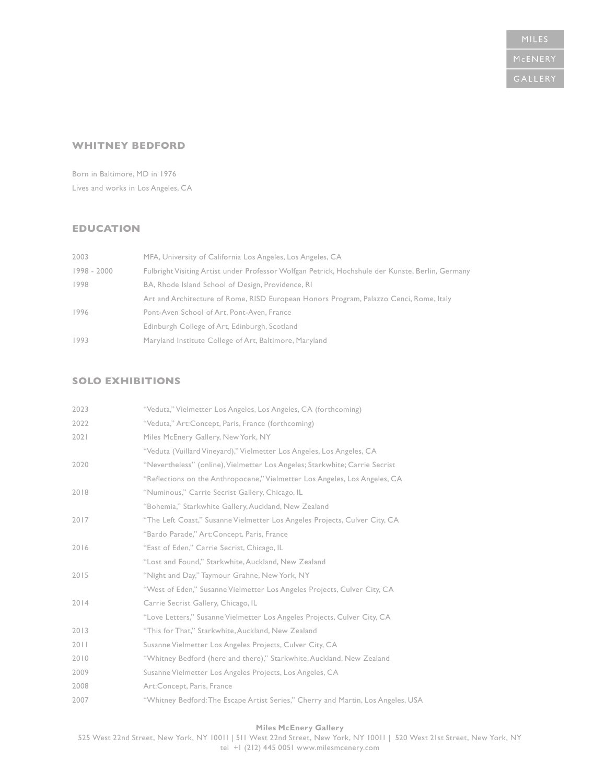### **WHITNEY BEDFORD**

Born in Baltimore, MD in 1976 Lives and works in Los Angeles, CA

# **EDUCATION**

| 2003        | MFA, University of California Los Angeles, Los Angeles, CA                                       |
|-------------|--------------------------------------------------------------------------------------------------|
| 1998 - 2000 | Fulbright Visiting Artist under Professor Wolfgan Petrick, Hochshule der Kunste, Berlin, Germany |
| 1998        | BA, Rhode Island School of Design, Providence, RI                                                |
|             | Art and Architecture of Rome, RISD European Honors Program, Palazzo Cenci, Rome, Italy           |
| 1996        | Pont-Aven School of Art, Pont-Aven, France                                                       |
|             | Edinburgh College of Art, Edinburgh, Scotland                                                    |
| 1993        | Maryland Institute College of Art, Baltimore, Maryland                                           |

### **SOLO EXHIBITIONS**

| 2023 | "Veduta," Vielmetter Los Angeles, Los Angeles, CA (forthcoming)                  |
|------|----------------------------------------------------------------------------------|
| 2022 | "Veduta," Art:Concept, Paris, France (forthcoming)                               |
| 2021 | Miles McEnery Gallery, New York, NY                                              |
|      | "Veduta (Vuillard Vineyard)," Vielmetter Los Angeles, Los Angeles, CA            |
| 2020 | "Nevertheless" (online), Vielmetter Los Angeles; Starkwhite; Carrie Secrist      |
|      | "Reflections on the Anthropocene," Vielmetter Los Angeles, Los Angeles, CA       |
| 2018 | "Numinous," Carrie Secrist Gallery, Chicago, IL                                  |
|      | "Bohemia," Starkwhite Gallery, Auckland, New Zealand                             |
| 2017 | "The Left Coast," Susanne Vielmetter Los Angeles Projects, Culver City, CA       |
|      | "Bardo Parade," Art: Concept, Paris, France                                      |
| 2016 | "East of Eden," Carrie Secrist, Chicago, IL                                      |
|      | "Lost and Found," Starkwhite, Auckland, New Zealand                              |
| 2015 | "Night and Day," Taymour Grahne, New York, NY                                    |
|      | "West of Eden," Susanne Vielmetter Los Angeles Projects, Culver City, CA         |
| 2014 | Carrie Secrist Gallery, Chicago, IL                                              |
|      | "Love Letters," Susanne Vielmetter Los Angeles Projects, Culver City, CA         |
| 2013 | "This for That," Starkwhite, Auckland, New Zealand                               |
| 2011 | Susanne Vielmetter Los Angeles Projects, Culver City, CA                         |
| 2010 | "Whitney Bedford (here and there)," Starkwhite, Auckland, New Zealand            |
| 2009 | Susanne Vielmetter Los Angeles Projects, Los Angeles, CA                         |
| 2008 | Art:Concept, Paris, France                                                       |
| 2007 | "Whitney Bedford: The Escape Artist Series," Cherry and Martin, Los Angeles, USA |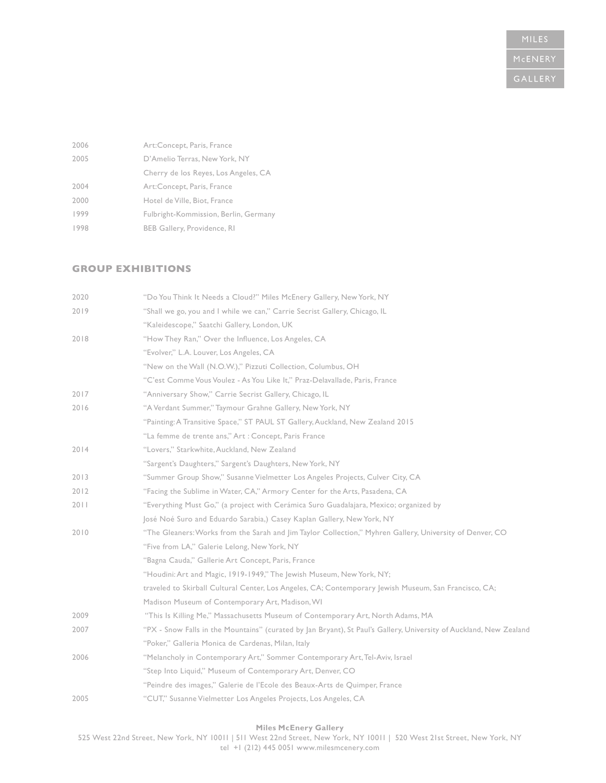| 2006 | Art:Concept, Paris, France            |
|------|---------------------------------------|
| 2005 | D'Amelio Terras, New York, NY         |
|      | Cherry de los Reyes, Los Angeles, CA  |
| 2004 | Art:Concept, Paris, France            |
| 2000 | Hotel de Ville, Biot, France          |
| 1999 | Fulbright-Kommission, Berlin, Germany |
| 1998 | BEB Gallery, Providence, RI           |

### **GROUP EXHIBITIONS**

| 2020 | "Do You Think It Needs a Cloud?" Miles McEnery Gallery, New York, NY                                               |
|------|--------------------------------------------------------------------------------------------------------------------|
| 2019 | "Shall we go, you and I while we can," Carrie Secrist Gallery, Chicago, IL                                         |
|      | "Kaleidescope," Saatchi Gallery, London, UK                                                                        |
| 2018 | "How They Ran," Over the Influence, Los Angeles, CA                                                                |
|      | "Evolver," L.A. Louver, Los Angeles, CA                                                                            |
|      | "New on the Wall (N.O.W.)," Pizzuti Collection, Columbus, OH                                                       |
|      | "C'est Comme Vous Voulez - As You Like It," Praz-Delavallade, Paris, France                                        |
| 2017 | "Anniversary Show," Carrie Secrist Gallery, Chicago, IL                                                            |
| 2016 | "A Verdant Summer," Taymour Grahne Gallery, New York, NY                                                           |
|      | "Painting: A Transitive Space," ST PAUL ST Gallery, Auckland, New Zealand 2015                                     |
|      | "La femme de trente ans," Art : Concept, Paris France                                                              |
| 2014 | "Lovers," Starkwhite, Auckland, New Zealand                                                                        |
|      | "Sargent's Daughters," Sargent's Daughters, New York, NY                                                           |
| 2013 | "Summer Group Show," Susanne Vielmetter Los Angeles Projects, Culver City, CA                                      |
| 2012 | "Facing the Sublime in Water, CA," Armory Center for the Arts, Pasadena, CA                                        |
| 2011 | "Everything Must Go," (a project with Cerámica Suro Guadalajara, Mexico; organized by                              |
|      | José Noé Suro and Eduardo Sarabia,) Casey Kaplan Gallery, New York, NY                                             |
| 2010 | "The Gleaners: Works from the Sarah and Jim Taylor Collection," Myhren Gallery, University of Denver, CO           |
|      | "Five from LA," Galerie Lelong, New York, NY                                                                       |
|      | "Bagna Cauda," Gallerie Art Concept, Paris, France                                                                 |
|      | "Houdini: Art and Magic, 1919-1949," The Jewish Museum, New York, NY;                                              |
|      | traveled to Skirball Cultural Center, Los Angeles, CA; Contemporary Jewish Museum, San Francisco, CA;              |
|      | Madison Museum of Contemporary Art, Madison, WI                                                                    |
| 2009 | "This Is Killing Me," Massachusetts Museum of Contemporary Art, North Adams, MA                                    |
| 2007 | "PX - Snow Falls in the Mountains" (curated by Jan Bryant), St Paul's Gallery, University of Auckland, New Zealand |
|      | "Poker," Galleria Monica de Cardenas, Milan, Italy                                                                 |
| 2006 | "Melancholy in Contemporary Art," Sommer Contemporary Art, Tel-Aviv, Israel                                        |
|      | "Step Into Liquid," Museum of Contemporary Art, Denver, CO                                                         |
|      | "Peindre des images," Galerie de l'Ecole des Beaux-Arts de Quimper, France                                         |
| 2005 | "CUT," Susanne Vielmetter Los Angeles Projects, Los Angeles, CA                                                    |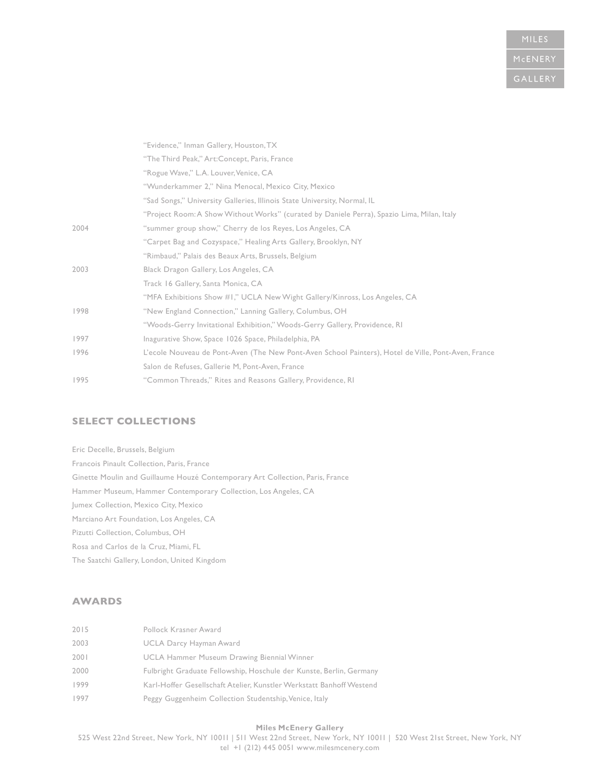# **MILES**

|      | "Evidence," Inman Gallery, Houston, TX                                                              |
|------|-----------------------------------------------------------------------------------------------------|
|      | "The Third Peak," Art:Concept, Paris, France                                                        |
|      | "Rogue Wave," L.A. Louver, Venice, CA                                                               |
|      | "Wunderkammer 2," Nina Menocal, Mexico City, Mexico                                                 |
|      | "Sad Songs," University Galleries, Illinois State University, Normal, IL                            |
|      | "Project Room: A Show Without Works" (curated by Daniele Perra), Spazio Lima, Milan, Italy          |
| 2004 | "summer group show," Cherry de los Reyes, Los Angeles, CA                                           |
|      | "Carpet Bag and Cozyspace," Healing Arts Gallery, Brooklyn, NY                                      |
|      | "Rimbaud," Palais des Beaux Arts, Brussels, Belgium                                                 |
| 2003 | Black Dragon Gallery, Los Angeles, CA                                                               |
|      | Track 16 Gallery, Santa Monica, CA                                                                  |
|      | "MFA Exhibitions Show #1," UCLA New Wight Gallery/Kinross, Los Angeles, CA                          |
| 1998 | "New England Connection," Lanning Gallery, Columbus, OH                                             |
|      | "Woods-Gerry Invitational Exhibition," Woods-Gerry Gallery, Providence, RI                          |
| 1997 | Inagurative Show, Space 1026 Space, Philadelphia, PA                                                |
| 1996 | L'ecole Nouveau de Pont-Aven (The New Pont-Aven School Painters), Hotel de Ville, Pont-Aven, France |
|      | Salon de Refuses, Gallerie M, Pont-Aven, France                                                     |
| 1995 | "Common Threads," Rites and Reasons Gallery, Providence, RI                                         |
|      |                                                                                                     |

# **SELECT COLLECTIONS**

Eric Decelle, Brussels, Belgium Francois Pinault Collection, Paris, France Ginette Moulin and Guillaume Houzé Contemporary Art Collection, Paris, France Hammer Museum, Hammer Contemporary Collection, Los Angeles, CA Jumex Collection, Mexico City, Mexico Marciano Art Foundation, Los Angeles, CA Pizutti Collection, Columbus, OH Rosa and Carlos de la Cruz, Miami, FL The Saatchi Gallery, London, United Kingdom

## **AWARDS**

| 2015 | Pollock Krasner Award                                                |
|------|----------------------------------------------------------------------|
| 2003 | UCLA Darcy Hayman Award                                              |
| 2001 | UCLA Hammer Museum Drawing Biennial Winner                           |
| 2000 | Fulbright Graduate Fellowship, Hoschule der Kunste, Berlin, Germany  |
| 1999 | Karl-Hoffer Gesellschaft Atelier, Kunstler Werkstatt Banhoff Westend |
| 1997 | Peggy Guggenheim Collection Studentship, Venice, Italy               |
|      |                                                                      |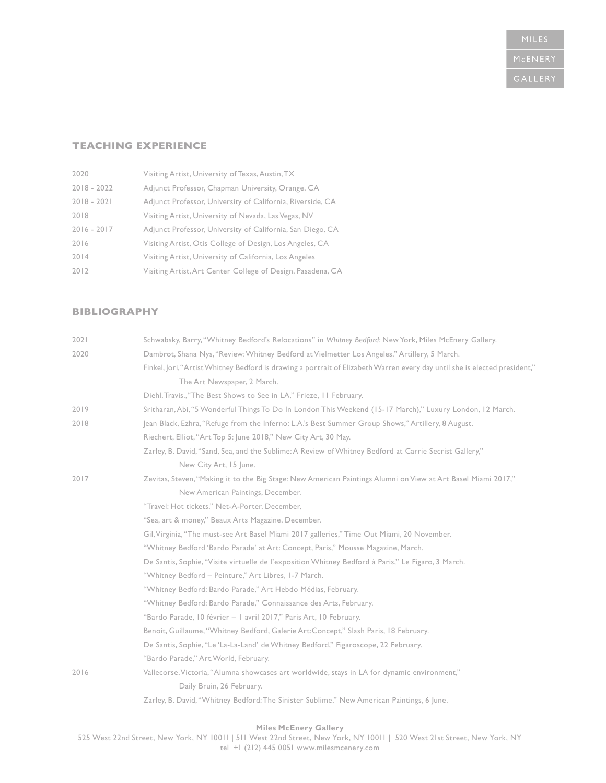# **TEACHING EXPERIENCE**

| 2020          | Visiting Artist, University of Texas, Austin, TX            |
|---------------|-------------------------------------------------------------|
| $2018 - 2022$ | Adjunct Professor, Chapman University, Orange, CA           |
| $2018 - 2021$ | Adjunct Professor, University of California, Riverside, CA  |
| 2018          | Visiting Artist, University of Nevada, Las Vegas, NV        |
| $2016 - 2017$ | Adjunct Professor, University of California, San Diego, CA  |
| 2016          | Visiting Artist, Otis College of Design, Los Angeles, CA    |
| 2014          | Visiting Artist, University of California, Los Angeles      |
| 2012          | Visiting Artist, Art Center College of Design, Pasadena, CA |

# **BIBLIOGRAPHY**

| 2021 | Schwabsky, Barry, "Whitney Bedford's Relocations" in Whitney Bedford: New York, Miles McEnery Gallery.                     |
|------|----------------------------------------------------------------------------------------------------------------------------|
| 2020 | Dambrot, Shana Nys, "Review: Whitney Bedford at Vielmetter Los Angeles," Artillery, 5 March.                               |
|      | Finkel, Jori, "Artist Whitney Bedford is drawing a portrait of Elizabeth Warren every day until she is elected president," |
|      | The Art Newspaper, 2 March.                                                                                                |
|      | Diehl, Travis., "The Best Shows to See in LA," Frieze, II February.                                                        |
| 2019 | Sritharan, Abi, "5 Wonderful Things To Do In London This Weekend (15-17 March)," Luxury London, 12 March.                  |
| 2018 | Jean Black, Ezhra, "Refuge from the Inferno: L.A.'s Best Summer Group Shows," Artillery, 8 August.                         |
|      | Riechert, Elliot, "Art Top 5: June 2018," New City Art, 30 May.                                                            |
|      | Zarley, B. David, "Sand, Sea, and the Sublime: A Review of Whitney Bedford at Carrie Secrist Gallery,"                     |
|      | New City Art, 15 June.                                                                                                     |
| 2017 | Zevitas, Steven, "Making it to the Big Stage: New American Paintings Alumni on View at Art Basel Miami 2017,"              |
|      | New American Paintings, December.                                                                                          |
|      | "Travel: Hot tickets," Net-A-Porter, December,                                                                             |
|      | "Sea, art & money," Beaux Arts Magazine, December.                                                                         |
|      | Gil, Virginia, "The must-see Art Basel Miami 2017 galleries," Time Out Miami, 20 November.                                 |
|      | "Whitney Bedford 'Bardo Parade' at Art: Concept, Paris," Mousse Magazine, March.                                           |
|      | De Santis, Sophie, "Visite virtuelle de l'exposition Whitney Bedford à Paris," Le Figaro, 3 March.                         |
|      | "Whitney Bedford - Peinture," Art Libres, I-7 March.                                                                       |
|      | "Whitney Bedford: Bardo Parade," Art Hebdo Médias, February.                                                               |
|      | "Whitney Bedford: Bardo Parade," Connaissance des Arts, February.                                                          |
|      | "Bardo Parade, 10 février - 1 avril 2017," Paris Art, 10 February.                                                         |
|      | Benoit, Guillaume, "Whitney Bedford, Galerie Art: Concept," Slash Paris, 18 February.                                      |
|      | De Santis, Sophie, "Le 'La-La-Land' de Whitney Bedford," Figaroscope, 22 February.                                         |
|      | "Bardo Parade," Art. World, February.                                                                                      |
| 2016 | Vallecorse, Victoria, "Alumna showcases art worldwide, stays in LA for dynamic environment,"                               |
|      | Daily Bruin, 26 February.                                                                                                  |
|      | Zarley, B. David, "Whitney Bedford: The Sinister Sublime," New American Paintings, 6 June.                                 |
|      |                                                                                                                            |